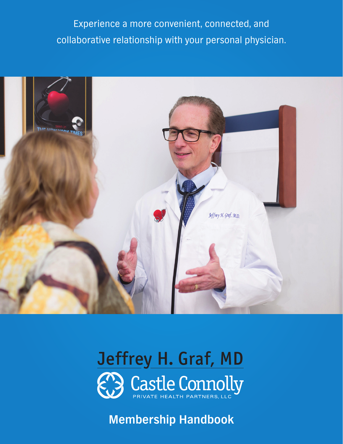Experience a more convenient, connected, and collaborative relationship with your personal physician.





# **Membership Handbook**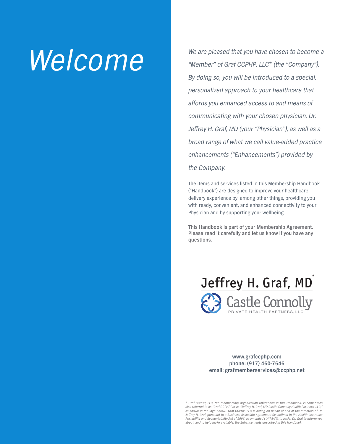We are pleased that you have chosen to become a<br>"Member" of Graf CCPHP, LLC\* (the "Company"). "Member" of Graf CCPHP, LLC\* (the "Company"). By doing so, you will be introduced to a special, personalized approach to your healthcare that affords you enhanced access to and means of communicating with your chosen physician, Dr. Jeffrey H. Graf, MD (your "Physician"), as well as a broad range of what we call value-added practice enhancements ("Enhancements") provided by the Company.

> The items and services listed in this Membership Handbook ("Handbook") are designed to improve your healthcare delivery experience by, among other things, providing you with ready, convenient, and enhanced connectivity to your Physician and by supporting your wellbeing.

**This Handbook is part of your Membership Agreement. Please read it carefully and let us know if you have any questions.** 



**www.grafccphp.com phone: (917) 460-7646 email: grafmemberservices@ccphp.net**

\* Graf CCPHP, LLC, the membership organization referenced in this Handbook, is sometimes also referred to as "Graf CCPHP" or as "Jeffrey H. Graf, MD Castle Connolly Health Partners, LLC," as shown in the logo below. Graf CCPHP, LLC is acting on behalf of and at the direction of Dr. Jeffrey H. Graf, pursuant to a Business Associate Agreement (as defined in the Health Insurance Portability and Accountability Act of 1996, as amended ("HIPAA")), to assist Dr. Graf to inform you about, and to help make available, the Enhancements described in this Handbook.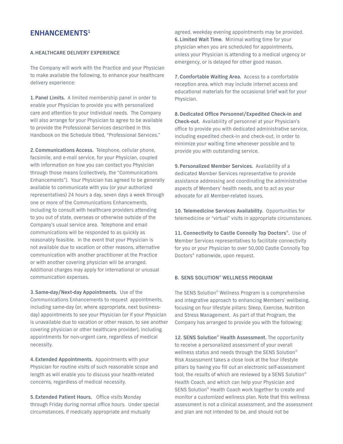# **ENHANCEMENTS1**

#### **A.HEALTHCARE DELIVERY EXPERIENCE**

The Company will work with the Practice and your Physician to make available the following, to enhance your healthcare delivery experience:

**1. Panel Limits.** A limited membership panel in order to enable your Physician to provide you with personalized care and attention to your individual needs. The Company will also arrange for your Physician to agree to be available to provide the Professional Services described in this Handbook on the Schedule titled, "Professional Services."

**2. Communications Access.** Telephone, cellular phone, facsimile, and e-mail service, for your Physician, coupled with information on how you can contact you Physician through those means (collectively, the "Communications Enhancements"). Your Physician has agreed to be generally available to communicate with you (or your authorized representatives) 24 hours a day, seven days a week through one or more of the Communications Enhancements, including to consult with healthcare providers attending to you out of state, overseas or otherwise outside of the Company's usual service area. Telephone and email communications will be responded to as quickly as reasonably feasible. In the event that your Physician is not available due to vacation or other reasons, alternative communication with another practitioner at the Practice or with another covering physician will be arranged. Additional charges may apply for international or unusual communication expenses.

**3. Same-day/Next-day Appointments.** Use of the Communications Enhancements to request appointments, including same-day (or, where appropriate, next businessday) appointments to see your Physician (or if your Physician is unavailable due to vacation or other reason, to see another covering physician or other healthcare provider), including appointments for non-urgent care, regardless of medical necessity.

**4. Extended Appointments.** Appointments with your Physician for routine visits of such reasonable scope and length as will enable you to discuss your health-related concerns, regardless of medical necessity.

**5. Extended Patient Hours.** Office visits Monday through Friday during normal office hours. Under special circumstances, if medically appropriate and mutually

agreed, weekday evening appointments may be provided. **6. Limited Wait Time.** Minimal waiting time for your physician when you are scheduled for appointments, unless your Physician is attending to a medical urgency or emergency, or is delayed for other good reason.

**7. Comfortable Waiting Area.** Access to a comfortable reception area, which may include internet access and educational materials for the occasional brief wait for your Physician.

**8.Dedicated Office Personnel/Expedited Check-in and Check-out.** Availability of personnel at your Physician's office to provide you with dedicated administrative service, including expedited check-in and check-out, in order to minimize your waiting time whenever possible and to provide you with outstanding service.

**9. Personalized Member Services.** Availability of a dedicated Member Services representative to provide assistance addressing and coordinating the administrative aspects of Members' health needs, and to act as your advocate for all Member-related issues.

**10. Telemedicine Services Availability.** Opportunities for telemedicine or "virtual" visits in appropriate circumstances.

**11. Connectivity to Castle Connolly Top Doctors®.** Use of Member Services representatives to facilitate connectivity for you or your Physician to over 50,000 Castle Connolly Top Doctors® nationwide, upon request.

### **B. SENS SOLUTION® WELLNESS PROGRAM**

The SENS Solution® Wellness Program is a comprehensive and integrative approach to enhancing Members' wellbeing, focusing on four lifestyle pillars: Sleep, Exercise, Nutrition and Stress Management. As part of that Program, the Company has arranged to provide you with the following:

**12. SENS Solution® Health Assessment.** The opportunity to receive a personalized assessment of your overall wellness status and needs through the SENS Solution® Risk Assessment takes a close look at the four lifestyle pillars by having you fill out an electronic self-assessment tool, the results of which are reviewed by a SENS Solution® Health Coach, and which can help your Physician and SENS Solution® Health Coach work together to create and monitor a customized wellness plan. Note that this wellness assessment is not a clinical assessment, and the assessment and plan are not intended to be, and should not be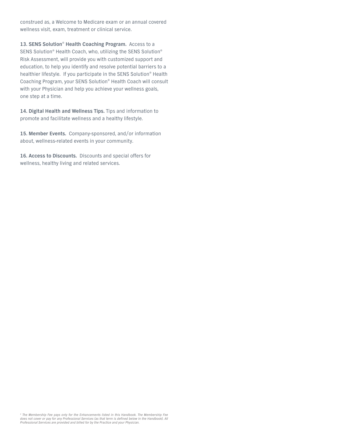construed as, a Welcome to Medicare exam or an annual covered wellness visit, exam, treatment or clinical service.

**13. SENS Solution**® **Health Coaching Program.** Access to a SENS Solution® Health Coach, who, utilizing the SENS Solution® Risk Assessment, will provide you with customized support and education, to help you identify and resolve potential barriers to a healthier lifestyle. If you participate in the SENS Solution® Health Coaching Program, your SENS Solution® Health Coach will consult with your Physician and help you achieve your wellness goals, one step at a time.

**14. Digital Health and Wellness Tips.** Tips and information to promote and facilitate wellness and a healthy lifestyle.

**15. Member Events.** Company-sponsored, and/or information about, wellness-related events in your community.

**16. Access to Discounts.** Discounts and special offers for wellness, healthy living and related services.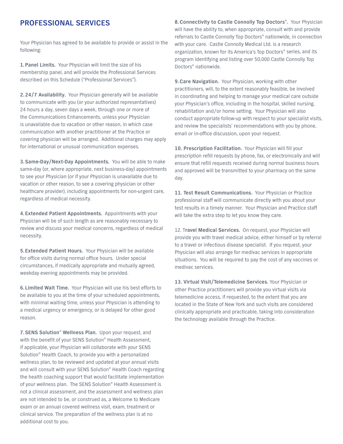# **PROFESSIONAL SERVICES**

Your Physician has agreed to be available to provide or assist in the following:

**1. Panel Limits.** Your Physician will limit the size of his membership panel, and will provide the Professional Services described on this Schedule ("Professional Services").

**2. 24/7 Availability.** Your Physician generally will be available to communicate with you (or your authorized representatives) 24 hours a day, seven days a week, through one or more of the Communications Enhancements, unless your Physician is unavailable due to vacation or other reason, in which case communication with another practitioner at the Practice or covering physician will be arranged. Additional charges may apply for international or unusual communication expenses.

**3. Same-Day/Next-Day Appointments.** You will be able to make same-day (or, where appropriate, next business-day) appointments to see your Physician (or if your Physician is unavailable due to vacation or other reason, to see a covering physician or other healthcare provider), including appointments for non-urgent care, regardless of medical necessity.

**4. Extended Patient Appointments.** Appointments with your Physician will be of such length as are reasonably necessary to review and discuss your medical concerns, regardless of medical necessity.

**5. Extended Patient Hours.** Your Physician will be available for office visits during normal office hours. Under special circumstances, if medically appropriate and mutually agreed, weekday evening appointments may be provided.

**6. Limited Wait Time.** Your Physician will use his best efforts to be available to you at the time of your scheduled appointments, with minimal waiting time, unless your Physician is attending to a medical urgency or emergency, or is delayed for other good reason.

**7. SENS Solution**® **Wellness Plan.** Upon your request, and with the benefit of your SENS Solution® Health Assessment, if applicable, your Physician will collaborate with your SENS Solution® Health Coach, to provide you with a personalized wellness plan, to be reviewed and updated at your annual visits and will consult with your SENS Solution® Health Coach regarding the health coaching support that would facilitate implementation of your wellness plan. The SENS Solution® Health Assessment is not a clinical assessment, and the assessment and wellness plan are not intended to be, or construed as, a Welcome to Medicare exam or an annual covered wellness visit, exam, treatment or clinical service. The preparation of the wellness plan is at no additional cost to you.

**8.Connectivity to Castle Connolly Top Doctors**®**.** Your Physician will have the ability to, when appropriate, consult with and provide referrals to Castle Connolly Top Doctors® nationwide, in connection with your care. Castle Connolly Medical Ltd. is a research organization, known for its America's Top Doctors® series, and its program identifying and listing over 50,000 Castle Connolly Top Doctors® nationwide.

**9.Care Navigation.** Your Physician, working with other practitioners, will, to the extent reasonably feasible, be involved in coordinating and helping to manage your medical care outside your Physician's office, including in the hospital, skilled nursing, rehabilitation and/or home setting. Your Physician will also conduct appropriate follow-up with respect to your specialist visits, and review the specialists' recommendations with you by phone, email or in-office discussion, upon your request.

**10. Prescription Facilitation.** Your Physician will fill your prescription refill requests by phone, fax, or electronically and will ensure that refill requests received during normal business hours and approved will be transmitted to your pharmacy on the same day.

**11. Test Result Communications.** Your Physician or Practice professional staff will communicate directly with you about your test results in a timely manner. Your Physician and Practice staff will take the extra step to let you know they care.

12. T**ravel Medical Services.** On request, your Physician will provide you with travel medical advice, either himself or by referral to a travel or infectious disease specialist. If you request, your Physician will also arrange for medivac services in appropriate situations. You will be required to pay the cost of any vaccines or medivac services.

**13. Virtual Visit/Telemedicine Services.** Your Physician or other Practice practitioners will provide you virtual visits via telemedicine access, if requested, to the extent that you are located in the State of New York and such visits are considered clinically appropriate and practicable, taking into consideration the technology available through the Practice.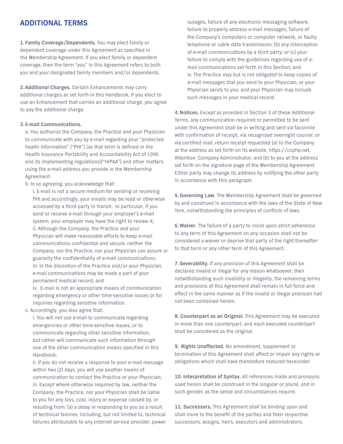# **ADDITIONAL TERMS**

**1. Family Coverage/Dependents.** You may elect family or dependent coverage under this Agreement as specified in the Membership Agreement. If you elect family or dependent coverage, then the term "you" in this Agreement refers to both you and your designated family members and/or dependents.

**2. Additional Charges.** Certain Enhancements may carry additional charges as set forth in this Handbook. If you elect to use an Enhancement that carries an additional charge, you agree to pay the additional charge.

#### **3. E-mail Communications.**

a. You authorize the Company, the Practice and your Physician to communicate with you by e-mail regarding your "protected health information" ("PHI") (as that term is defined in the Health Insurance Portability and Accountability Act of 1996 and its implementing regulations)("HIPAA") and other matters using the e-mail address you provide in the Membership Agreement.

b. In so agreeing, you acknowledge that:

i. E-mail is not a secure medium for sending or receiving PHI and accordingly, your emails may be read or otherwise accessed by a third party in transit. In particular, if you send or receive e-mail through your employer's e-mail system, your employer may have the right to review it; ii. Although the Company, the Practice and your Physician will make reasonable efforts to keep e-mail communications confidential and secure, neither the Company, nor the Practice, nor your Physician can assure or guaranty the confidentiality of e-mail communications; iii. In the discretion of the Practice and/or your Physician, e-mail communications may be made a part of your permanent medical record; and

iv. E-mail is not an appropriate means of communication regarding emergency or other time-sensitive issues or for inquiries regarding sensitive information.

c. Accordingly, you also agree that:

i. You will not use e-mail to communicate regarding emergencies or other time-sensitive issues, or to communicate regarding other sensitive information, but rather will communicate such information through one of the other communication means specified in this Handbook;

ii. If you do not receive a response to your e-mail message within two (2) days, you will use another means of communication to contact the Practice or your Physician; iii. Except where otherwise required by law, neither the Company, the Practice, nor your Physician shall be liable to you for any loss, cost, injury or expense caused by, or resulting from: (a) a delay in responding to you as a result of technical failures, including, but not limited to, technical failures attributable to any internet service provider, power

outages, failure of any electronic messaging software, failure to properly address e-mail messages, failure of the Company's computers or computer network, or faulty telephone or cable data transmission; (b) any interception of e-mail communications by a third party; or (c) your failure to comply with the guidelines regarding use of email communications set forth in this Section; and iv. The Practice may but is not obligated to keep copies of e-mail messages that you send to your Physician, or your Physician sends to you, and your Physician may include such messages in your medical record.

**4.Notices.** Except as provided in Section 3 of these Additional Terms, any communication required or permitted to be sent under this Agreement shall be in writing and sent via facsimile with confirmation of receipt, via recognized overnight courier, or via certified mail, return receipt requested (a) to the Company at the address as set forth on its website, https://ccphp.net, Attention: Company Administrator, and (b) to you at the address set forth on the signature page of the Membership Agreement. Either party may change its address by notifying the other party in accordance with this paragraph.

**5.Governing Law.** The Membership Agreement shall be governed by and construed in accordance with the laws of the State of New York, notwithstanding the principles of conflicts of laws.

**6.Waiver.** The failure of a party to insist upon strict adherence to any term of this Agreement on any occasion shall not be considered a waiver or deprive that party of the right thereafter to that term or any other term of this Agreement.

**7. Severability.** If any provision of this Agreement shall be declared invalid or illegal for any reason whatsoever, then notwithstanding such invalidity or illegality, the remaining terms and provisions of this Agreement shall remain in full force and effect in the same manner as if the invalid or illegal provision had not been contained herein.

**8. Counterpart as an Original.** This Agreement may be executed in more than one counterpart, and each executed counterpart shall be considered as the original.

**9. Rights Unaffected.** No amendment, supplement or termination of this Agreement shall affect or impair any rights or obligations which shall have theretofore matured hereunder.

**10. Interpretation of Syntax.** All references made and pronouns used herein shall be construed in the singular or plural, and in such gender, as the sense and circumstances require.

**11. Successors.** This Agreement shall be binding upon and shall inure to the benefit of the parties and their respective successors, assigns, heirs, executors and administrators.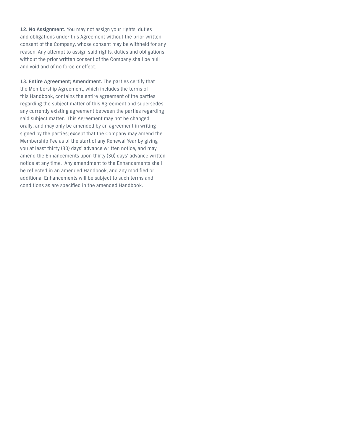**12. No Assignment.** You may not assign your rights, duties and obligations under this Agreement without the prior written consent of the Company, whose consent may be withheld for any reason. Any attempt to assign said rights, duties and obligations without the prior written consent of the Company shall be null and void and of no force or effect.

**13. Entire Agreement; Amendment.** The parties certify that the Membership Agreement, which includes the terms of this Handbook, contains the entire agreement of the parties regarding the subject matter of this Agreement and supersedes any currently existing agreement between the parties regarding said subject matter. This Agreement may not be changed orally, and may only be amended by an agreement in writing signed by the parties; except that the Company may amend the Membership Fee as of the start of any Renewal Year by giving you at least thirty (30) days' advance written notice, and may amend the Enhancements upon thirty (30) days' advance written notice at any time. Any amendment to the Enhancements shall be reflected in an amended Handbook, and any modified or additional Enhancements will be subject to such terms and conditions as are specified in the amended Handbook.